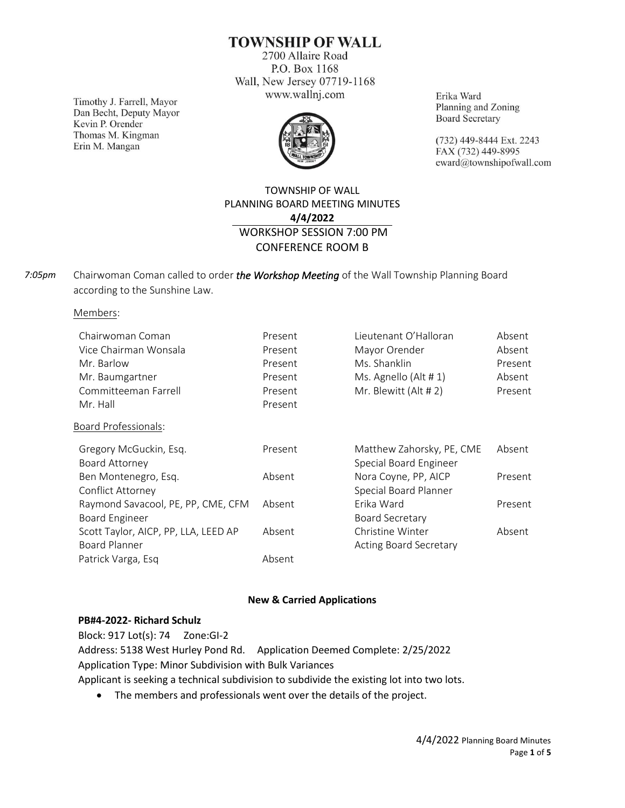**TOWNSHIP OF WALL** 

2700 Allaire Road P.O. Box 1168 Wall, New Jersey 07719-1168 www.wallnj.com

Timothy J. Farrell, Mayor Dan Becht, Deputy Mayor Kevin P. Orender Thomas M. Kingman Erin M. Mangan



Erika Ward Planning and Zoning **Board Secretary** 

(732) 449-8444 Ext. 2243 FAX (732) 449-8995 eward@townshipofwall.com

## TOWNSHIP OF WALL PLANNING BOARD MEETING MINUTES **4/4/2022** WORKSHOP SESSION 7:00 PM CONFERENCE ROOM B

Chairwoman Coman called to order *the Workshop Meeting* of the Wall Township Planning Board according to the Sunshine Law. *7:05pm*

Members:

| Chairwoman Coman                     | Present | Lieutenant O'Halloran         | Absent  |
|--------------------------------------|---------|-------------------------------|---------|
| Vice Chairman Wonsala                | Present | Mayor Orender                 | Absent  |
| Mr. Barlow                           | Present | Ms. Shanklin                  | Present |
| Mr. Baumgartner                      | Present | Ms. Agnello (Alt # 1)         | Absent  |
| Committeeman Farrell                 | Present | Mr. Blewitt (Alt # 2)         | Present |
| Mr. Hall                             | Present |                               |         |
| Board Professionals:                 |         |                               |         |
| Gregory McGuckin, Esq.               | Present | Matthew Zahorsky, PE, CME     | Absent  |
| Board Attorney                       |         | Special Board Engineer        |         |
| Ben Montenegro, Esq.                 | Absent  | Nora Coyne, PP, AICP          | Present |
| Conflict Attorney                    |         | Special Board Planner         |         |
| Raymond Savacool, PE, PP, CME, CFM   | Absent  | Erika Ward                    | Present |
| <b>Board Engineer</b>                |         | <b>Board Secretary</b>        |         |
| Scott Taylor, AICP, PP, LLA, LEED AP | Absent  | Christine Winter              | Absent  |
| Board Planner                        |         | <b>Acting Board Secretary</b> |         |
| Patrick Varga, Esq                   | Absent  |                               |         |

### **New & Carried Applications**

#### **PB#4-2022- Richard Schulz**

Block: 917 Lot(s): 74 Zone:GI-2 Address: 5138 West Hurley Pond Rd. Application Deemed Complete: 2/25/2022 Application Type: Minor Subdivision with Bulk Variances Applicant is seeking a technical subdivision to subdivide the existing lot into two lots.

• The members and professionals went over the details of the project.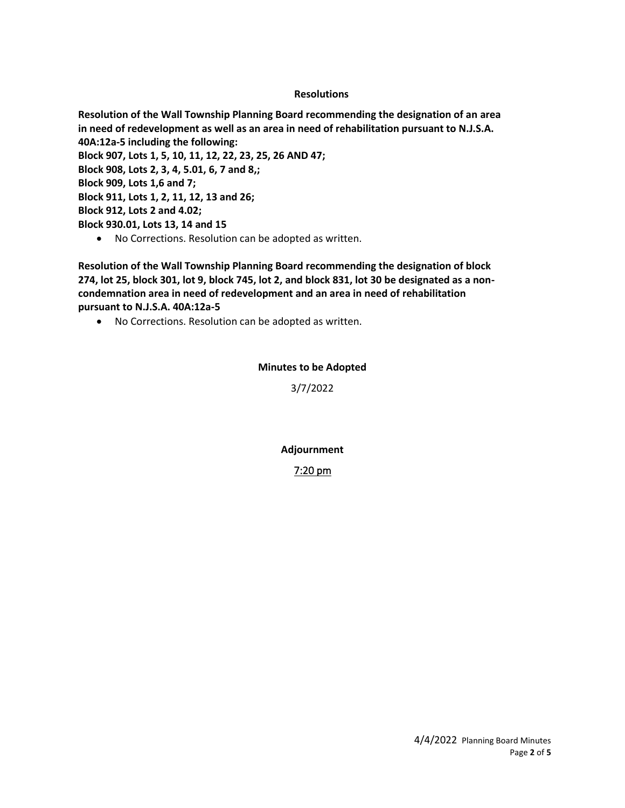### **Resolutions**

**Resolution of the Wall Township Planning Board recommending the designation of an area in need of redevelopment as well as an area in need of rehabilitation pursuant to N.J.S.A. 40A:12a-5 including the following: Block 907, Lots 1, 5, 10, 11, 12, 22, 23, 25, 26 AND 47; Block 908, Lots 2, 3, 4, 5.01, 6, 7 and 8,; Block 909, Lots 1,6 and 7; Block 911, Lots 1, 2, 11, 12, 13 and 26; Block 912, Lots 2 and 4.02; Block 930.01, Lots 13, 14 and 15**

• No Corrections. Resolution can be adopted as written.

**Resolution of the Wall Township Planning Board recommending the designation of block 274, lot 25, block 301, lot 9, block 745, lot 2, and block 831, lot 30 be designated as a noncondemnation area in need of redevelopment and an area in need of rehabilitation pursuant to N.J.S.A. 40A:12a-5**

• No Corrections. Resolution can be adopted as written.

### **Minutes to be Adopted**

3/7/2022

**Adjournment**

7:20 pm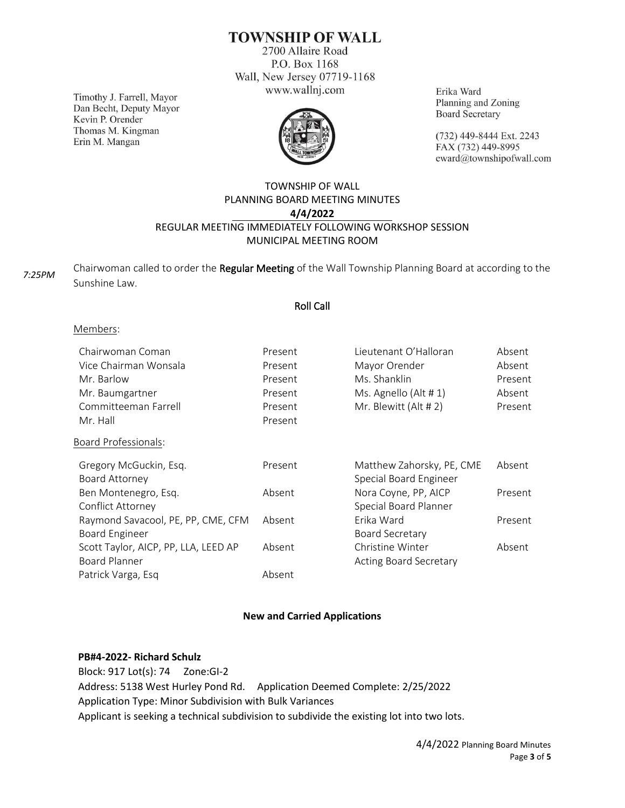# **TOWNSHIP OF WALL**

2700 Allaire Road P.O. Box 1168 Wall, New Jersey 07719-1168 www.wallnj.com

Timothy J. Farrell, Mayor Dan Becht, Deputy Mayor Kevin P. Orender Thomas M. Kingman Erin M. Mangan



Erika Ward Planning and Zoning **Board Secretary** 

(732) 449-8444 Ext. 2243 FAX (732) 449-8995 eward@townshipofwall.com

## TOWNSHIP OF WALL PLANNING BOARD MEETING MINUTES **4/4/2022** REGULAR MEETING IMMEDIATELY FOLLOWING WORKSHOP SESSION MUNICIPAL MEETING ROOM

Chairwoman called to order the Regular Meeting of the Wall Township Planning Board at according to the Sunshine Law. *7:25PM*

### Roll Call

#### Members:

| Chairwoman Coman<br>Vice Chairman Wonsala<br>Mr. Barlow<br>Mr. Baumgartner<br>Committeeman Farrell<br>Mr. Hall | Present<br>Present<br>Present<br>Present<br>Present<br>Present | Lieutenant O'Halloran<br>Mayor Orender<br>Ms. Shanklin<br>Ms. Agnello (Alt # 1)<br>Mr. Blewitt (Alt # 2) | Absent<br>Absent<br>Present<br>Absent<br>Present |
|----------------------------------------------------------------------------------------------------------------|----------------------------------------------------------------|----------------------------------------------------------------------------------------------------------|--------------------------------------------------|
| Board Professionals:                                                                                           |                                                                |                                                                                                          |                                                  |
|                                                                                                                |                                                                |                                                                                                          |                                                  |
| Gregory McGuckin, Esq.                                                                                         | Present                                                        | Matthew Zahorsky, PE, CME                                                                                | Absent                                           |
| Board Attorney                                                                                                 |                                                                | Special Board Engineer                                                                                   |                                                  |
| Ben Montenegro, Esq.                                                                                           | Absent                                                         | Nora Coyne, PP, AICP                                                                                     | Present                                          |
| Conflict Attorney                                                                                              |                                                                | Special Board Planner                                                                                    |                                                  |
| Raymond Savacool, PE, PP, CME, CFM                                                                             | Absent                                                         | Erika Ward                                                                                               | Present                                          |
| <b>Board Engineer</b>                                                                                          |                                                                | <b>Board Secretary</b>                                                                                   |                                                  |
| Scott Taylor, AICP, PP, LLA, LEED AP                                                                           | Absent                                                         | Christine Winter                                                                                         | Absent                                           |
| Board Planner                                                                                                  |                                                                | <b>Acting Board Secretary</b>                                                                            |                                                  |
| Patrick Varga, Esq                                                                                             | Absent                                                         |                                                                                                          |                                                  |

### **New and Carried Applications**

#### **PB#4-2022- Richard Schulz**

Block: 917 Lot(s): 74 Zone:GI-2 Address: 5138 West Hurley Pond Rd. Application Deemed Complete: 2/25/2022 Application Type: Minor Subdivision with Bulk Variances Applicant is seeking a technical subdivision to subdivide the existing lot into two lots.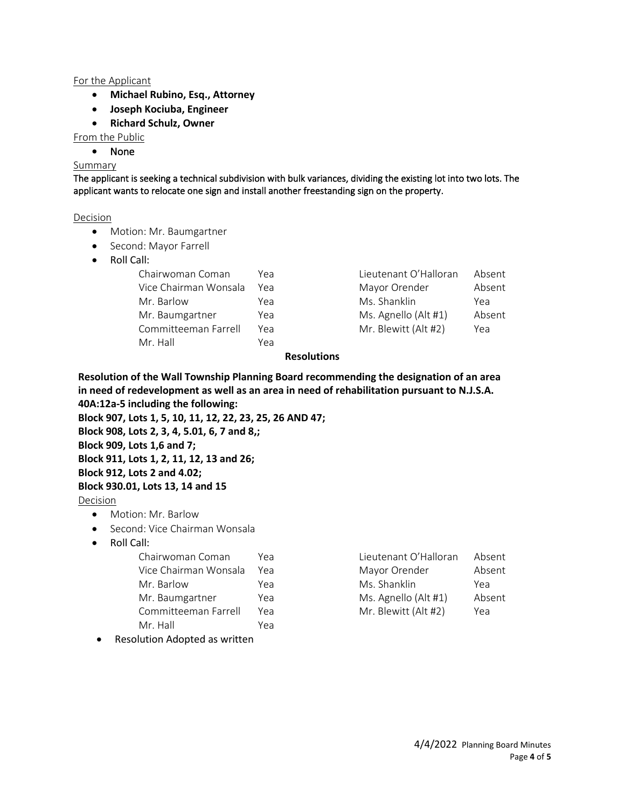### For the Applicant

- **Michael Rubino, Esq., Attorney**
- **Joseph Kociuba, Engineer**
- **Richard Schulz, Owner**

From the Public

• None

#### Summary

The applicant is seeking a technical subdivision with bulk variances, dividing the existing lot into two lots. The applicant wants to relocate one sign and install another freestanding sign on the property.

#### Decision

- Motion: Mr. Baumgartner
- Second: Mayor Farrell
- Roll Call:

| Үеа | Lieutenant O'Halloran | Absent |
|-----|-----------------------|--------|
| Yea | Mayor Orender         | Absent |
| Yea | Ms. Shanklin          | Yea    |
| Yea | Ms. Agnello (Alt #1)  | Absent |
| Yea | Mr. Blewitt (Alt #2)  | Yea    |
| Yea |                       |        |
|     |                       |        |

| Lieutenant O'Halloran | Absent |
|-----------------------|--------|
| Mayor Orender         | Absent |
| Ms. Shanklin          | Yea    |
| Ms. Agnello (Alt #1)  | Absent |
| Mr. Blewitt (Alt #2)  | Yea    |

### **Resolutions**

**Resolution of the Wall Township Planning Board recommending the designation of an area in need of redevelopment as well as an area in need of rehabilitation pursuant to N.J.S.A. 40A:12a-5 including the following:**

**Block 907, Lots 1, 5, 10, 11, 12, 22, 23, 25, 26 AND 47;**

**Block 908, Lots 2, 3, 4, 5.01, 6, 7 and 8,;**

**Block 909, Lots 1,6 and 7;**

### **Block 911, Lots 1, 2, 11, 12, 13 and 26;**

**Block 912, Lots 2 and 4.02;**

### **Block 930.01, Lots 13, 14 and 15**

Decision

- Motion: Mr. Barlow
- Second: Vice Chairman Wonsala
- Roll Call:

| Chairwoman Coman      | Үеа | Lieutenant O'Halloran | Absent |
|-----------------------|-----|-----------------------|--------|
| Vice Chairman Wonsala | Үеа | Mayor Orender         | Absent |
| Mr. Barlow            | Yea | Ms. Shanklin          | Yea    |
| Mr. Baumgartner       | Yea | Ms. Agnello (Alt #1)  | Absent |
| Committeeman Farrell  | Yea | Mr. Blewitt (Alt #2)  | Yea    |
| Mr. Hall              | Yea |                       |        |
|                       |     |                       |        |

• Resolution Adopted as written

| Lieutenant O'Halloran | Absent |
|-----------------------|--------|
| Mayor Orender         | Absent |
| Ms. Shanklin          | Yea    |
| Ms. Agnello (Alt #1)  | Absent |
| Mr. Blewitt (Alt #2)  | Yea    |